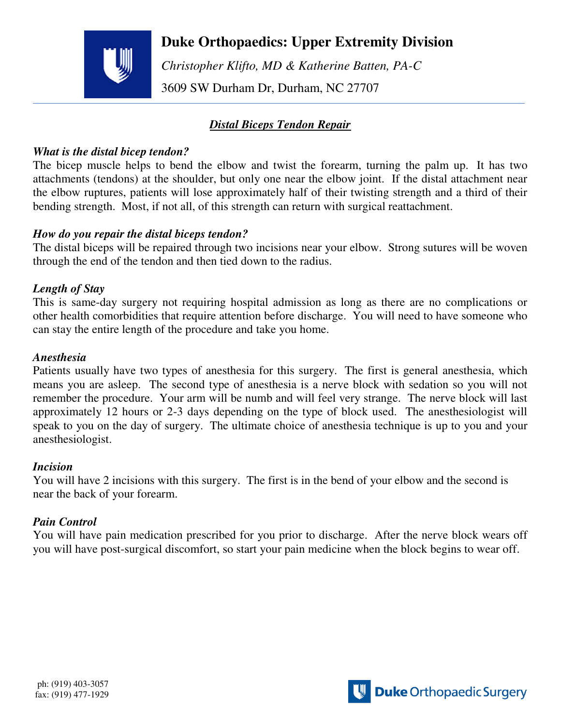

## **Duke Orthopaedics: Upper Extremity Division**

 *Christopher Klifto, MD & Katherine Batten, PA-C*  3609 SW Durham Dr, Durham, NC 27707

## *Distal Biceps Tendon Repair*

#### *What is the distal bicep tendon?*

The bicep muscle helps to bend the elbow and twist the forearm, turning the palm up. It has two attachments (tendons) at the shoulder, but only one near the elbow joint. If the distal attachment near the elbow ruptures, patients will lose approximately half of their twisting strength and a third of their bending strength. Most, if not all, of this strength can return with surgical reattachment.

#### *How do you repair the distal biceps tendon?*

The distal biceps will be repaired through two incisions near your elbow. Strong sutures will be woven through the end of the tendon and then tied down to the radius.

## *Length of Stay*

This is same-day surgery not requiring hospital admission as long as there are no complications or other health comorbidities that require attention before discharge. You will need to have someone who can stay the entire length of the procedure and take you home.

#### *Anesthesia*

Patients usually have two types of anesthesia for this surgery. The first is general anesthesia, which means you are asleep. The second type of anesthesia is a nerve block with sedation so you will not remember the procedure. Your arm will be numb and will feel very strange. The nerve block will last approximately 12 hours or 2-3 days depending on the type of block used. The anesthesiologist will speak to you on the day of surgery. The ultimate choice of anesthesia technique is up to you and your anesthesiologist.

#### *Incision*

You will have 2 incisions with this surgery. The first is in the bend of your elbow and the second is near the back of your forearm.

## *Pain Control*

You will have pain medication prescribed for you prior to discharge. After the nerve block wears off you will have post-surgical discomfort, so start your pain medicine when the block begins to wear off.